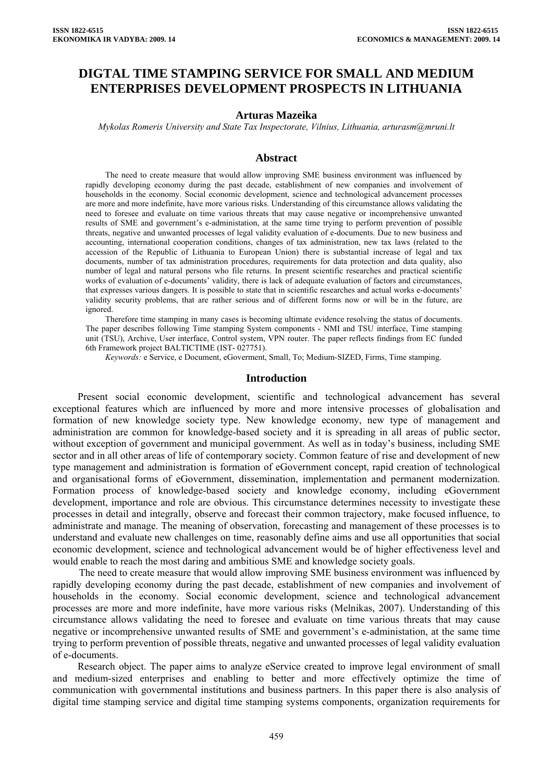# **DIGTAL TIME STAMPING SERVICE FOR SMALL AND MEDIUM ENTERPRISES DEVELOPMENT PROSPECTS IN LITHUANIA**

#### **Arturas Mazeika**

*Mykolas Romeris University and State Tax Inspectorate, Vilnius, Lithuania, [arturasm@mruni.lt](mailto:arturasm@mruni.lt)*

### **Abstract**

The need to create measure that would allow improving SME business environment was influenced by rapidly developing economy during the past decade, establishment of new companies and involvement of households in the economy. Social economic development, science and technological advancement processes are more and more indefinite, have more various risks. Understanding of this circumstance allows validating the need to foresee and evaluate on time various threats that may cause negative or incomprehensive unwanted results of SME and government's e-administation, at the same time trying to perform prevention of possible threats, negative and unwanted processes of legal validity evaluation of e-documents. Due to new business and accounting, international cooperation conditions, changes of tax administration, new tax laws (related to the accession of the Republic of Lithuania to European Union) there is substantial increase of legal and tax documents, number of tax administration procedures, requirements for data protection and data quality, also number of legal and natural persons who file returns. In present scientific researches and practical scientific works of evaluation of e-documents' validity, there is lack of adequate evaluation of factors and circumstances, that expresses various dangers. It is possible to state that in scientific researches and actual works e-documents' validity security problems, that are rather serious and of different forms now or will be in the future, are ignored.

Therefore time stamping in many cases is becoming ultimate evidence resolving the status of documents. The paper describes following Time stamping System components - NMI and TSU interface, Time stamping unit (TSU), Archive, User interface, Control system, VPN router. The paper reflects findings from EC funded 6th Framework project BALTICTIME (IST- 027751).

*Keywords:* e Service, e Document, eGoverment, Small, To; Medium-SIZED, Firms, Time stamping.

#### **Introduction**

Present social economic development, scientific and technological advancement has several exceptional features which are influenced by more and more intensive processes of globalisation and formation of new knowledge society type. New knowledge economy, new type of management and administration are common for knowledge-based society and it is spreading in all areas of public sector, without exception of government and municipal government. As well as in today's business, including SME sector and in all other areas of life of contemporary society. Common feature of rise and development of new type management and administration is formation of eGovernment concept, rapid creation of technological and organisational forms of eGovernment, dissemination, implementation and permanent modernization. Formation process of knowledge-based society and knowledge economy, including eGovernment development, importance and role are obvious. This circumstance determines necessity to investigate these processes in detail and integrally, observe and forecast their common trajectory, make focused influence, to administrate and manage. The meaning of observation, forecasting and management of these processes is to understand and evaluate new challenges on time, reasonably define aims and use all opportunities that social economic development, science and technological advancement would be of higher effectiveness level and would enable to reach the most daring and ambitious SME and knowledge society goals.

The need to create measure that would allow improving SME business environment was influenced by rapidly developing economy during the past decade, establishment of new companies and involvement of households in the economy. Social economic development, science and technological advancement processes are more and more indefinite, have more various risks (Melnikas, 2007). Understanding of this circumstance allows validating the need to foresee and evaluate on time various threats that may cause negative or incomprehensive unwanted results of SME and government's e-administation, at the same time trying to perform prevention of possible threats, negative and unwanted processes of legal validity evaluation of e-documents.

Research object. The paper aims to analyze eService created to improve legal environment of small and medium-sized enterprises and enabling to better and more effectively optimize the time of communication with governmental institutions and business partners. In this paper there is also analysis of digital time stamping service and digital time stamping systems components, organization requirements for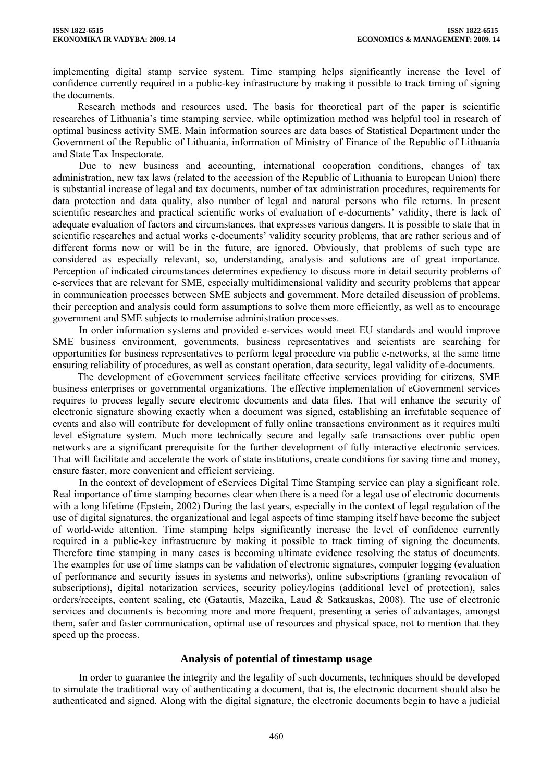implementing digital stamp service system. Time stamping helps significantly increase the level of confidence currently required in a public-key infrastructure by making it possible to track timing of signing the documents.

Research methods and resources used. The basis for theoretical part of the paper is scientific researches of Lithuania's time stamping service, while optimization method was helpful tool in research of optimal business activity SME. Main information sources are data bases of Statistical Department under the Government of the Republic of Lithuania, information of Ministry of Finance of the Republic of Lithuania and State Tax Inspectorate.

Due to new business and accounting, international cooperation conditions, changes of tax administration, new tax laws (related to the accession of the Republic of Lithuania to European Union) there is substantial increase of legal and tax documents, number of tax administration procedures, requirements for data protection and data quality, also number of legal and natural persons who file returns. In present scientific researches and practical scientific works of evaluation of e-documents' validity, there is lack of adequate evaluation of factors and circumstances, that expresses various dangers. It is possible to state that in scientific researches and actual works e-documents' validity security problems, that are rather serious and of different forms now or will be in the future, are ignored. Obviously, that problems of such type are considered as especially relevant, so, understanding, analysis and solutions are of great importance. Perception of indicated circumstances determines expediency to discuss more in detail security problems of e-services that are relevant for SME, especially multidimensional validity and security problems that appear in communication processes between SME subjects and government. More detailed discussion of problems, their perception and analysis could form assumptions to solve them more efficiently, as well as to encourage government and SME subjects to modernise administration processes.

In order information systems and provided e-services would meet EU standards and would improve SME business environment, governments, business representatives and scientists are searching for opportunities for business representatives to perform legal procedure via public e-networks, at the same time ensuring reliability of procedures, as well as constant operation, data security, legal validity of e-documents.

The development of eGovernment services facilitate effective services providing for citizens, SME business enterprises or governmental organizations. The effective implementation of eGovernment services requires to process legally secure electronic documents and data files. That will enhance the security of electronic signature showing exactly when a document was signed, establishing an irrefutable sequence of events and also will contribute for development of fully online transactions environment as it requires multi level eSignature system. Much more technically secure and legally safe transactions over public open networks are a significant prerequisite for the further development of fully interactive electronic services. That will facilitate and accelerate the work of state institutions, create conditions for saving time and money, ensure faster, more convenient and efficient servicing.

In the context of development of eServices Digital Time Stamping service can play a significant role. Real importance of time stamping becomes clear when there is a need for a legal use of electronic documents with a long lifetime (Epstein, 2002) During the last years, especially in the context of legal regulation of the use of digital signatures, the organizational and legal aspects of time stamping itself have become the subject of world-wide attention. Time stamping helps significantly increase the level of confidence currently required in a public-key infrastructure by making it possible to track timing of signing the documents. Therefore time stamping in many cases is becoming ultimate evidence resolving the status of documents. The examples for use of time stamps can be validation of electronic signatures, computer logging (evaluation of performance and security issues in systems and networks), online subscriptions (granting revocation of subscriptions), digital notarization services, security policy/logins (additional level of protection), sales orders/receipts, content sealing, etc (Gatautis, Mazeika, Laud & Satkauskas, 2008). The use of electronic services and documents is becoming more and more frequent, presenting a series of advantages, amongst them, safer and faster communication, optimal use of resources and physical space, not to mention that they speed up the process.

## **Analysis of potential of timestamp usage**

In order to guarantee the integrity and the legality of such documents, techniques should be developed to simulate the traditional way of authenticating a document, that is, the electronic document should also be authenticated and signed. Along with the digital signature, the electronic documents begin to have a judicial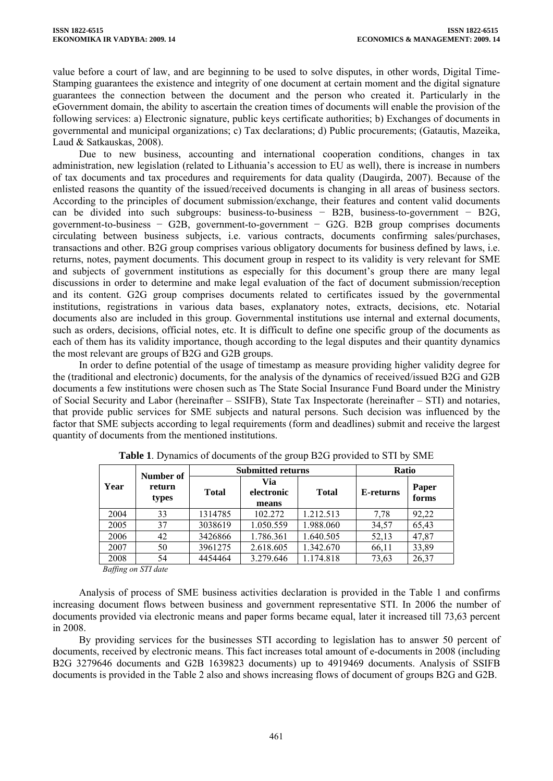value before a court of law, and are beginning to be used to solve disputes, in other words, Digital Time-Stamping guarantees the existence and integrity of one document at certain moment and the digital signature guarantees the connection between the document and the person who created it. Particularly in the eGovernment domain, the ability to ascertain the creation times of documents will enable the provision of the following services: a) Electronic signature, public keys certificate authorities; b) Exchanges of documents in governmental and municipal organizations; c) Tax declarations; d) Public procurements; (Gatautis, Mazeika, Laud & Satkauskas, 2008).

Due to new business, accounting and international cooperation conditions, changes in tax administration, new legislation (related to Lithuania's accession to EU as well), there is increase in numbers of tax documents and tax procedures and requirements for data quality (Daugirda, 2007). Because of the enlisted reasons the quantity of the issued/received documents is changing in all areas of business sectors. According to the principles of document submission/exchange, their features and content valid documents can be divided into such subgroups: business-to-business − B2B, business-to-government − B2G, government-to-business − G2B, government-to-government − G2G. B2B group comprises documents circulating between business subjects, i.e. various contracts, documents confirming sales/purchases, transactions and other. B2G group comprises various obligatory documents for business defined by laws, i.e. returns, notes, payment documents. This document group in respect to its validity is very relevant for SME and subjects of government institutions as especially for this document's group there are many legal discussions in order to determine and make legal evaluation of the fact of document submission/reception and its content. G2G group comprises documents related to certificates issued by the governmental institutions, registrations in various data bases, explanatory notes, extracts, decisions, etc. Notarial documents also are included in this group. Governmental institutions use internal and external documents, such as orders, decisions, official notes, etc. It is difficult to define one specific group of the documents as each of them has its validity importance, though according to the legal disputes and their quantity dynamics the most relevant are groups of B2G and G2B groups.

In order to define potential of the usage of timestamp as measure providing higher validity degree for the (traditional and electronic) documents, for the analysis of the dynamics of received/issued B2G and G2B documents a few institutions were chosen such as The State Social Insurance Fund Board under the Ministry of Social Security and Labor (hereinafter – SSIFB), State Tax Inspectorate (hereinafter – STI) and notaries, that provide public services for SME subjects and natural persons. Such decision was influenced by the factor that SME subjects according to legal requirements (form and deadlines) submit and receive the largest quantity of documents from the mentioned institutions.

|      | Number of           | <b>Submitted returns</b> |                            |              | <b>Ratio</b> |                |
|------|---------------------|--------------------------|----------------------------|--------------|--------------|----------------|
| Year | return<br>types     | <b>Total</b>             | Via<br>electronic<br>means | <b>Total</b> | E-returns    | Paper<br>forms |
| 2004 | 33                  | 1314785                  | 102.272                    | 1.212.513    | 7.78         | 92,22          |
| 2005 | 37                  | 3038619                  | 1.050.559                  | 1.988.060    | 34,57        | 65,43          |
| 2006 | 42                  | 3426866                  | 1.786.361                  | 1.640.505    | 52,13        | 47,87          |
| 2007 | 50                  | 3961275                  | 2.618.605                  | 1.342.670    | 66,11        | 33,89          |
| 2008 | 54                  | 4454464                  | 3.279.646                  | 1.174.818    | 73,63        | 26,37          |
|      | Baffing on STI date |                          |                            |              |              |                |

**Table 1**. Dynamics of documents of the group B2G provided to STI by SME

Analysis of process of SME business activities declaration is provided in the Table 1 and confirms increasing document flows between business and government representative STI. In 2006 the number of documents provided via electronic means and paper forms became equal, later it increased till 73,63 percent in 2008.

By providing services for the businesses STI according to legislation has to answer 50 percent of documents, received by electronic means. This fact increases total amount of e-documents in 2008 (including B2G 3279646 documents and G2B 1639823 documents) up to 4919469 documents. Analysis of SSIFB documents is provided in the Table 2 also and shows increasing flows of document of groups B2G and G2B.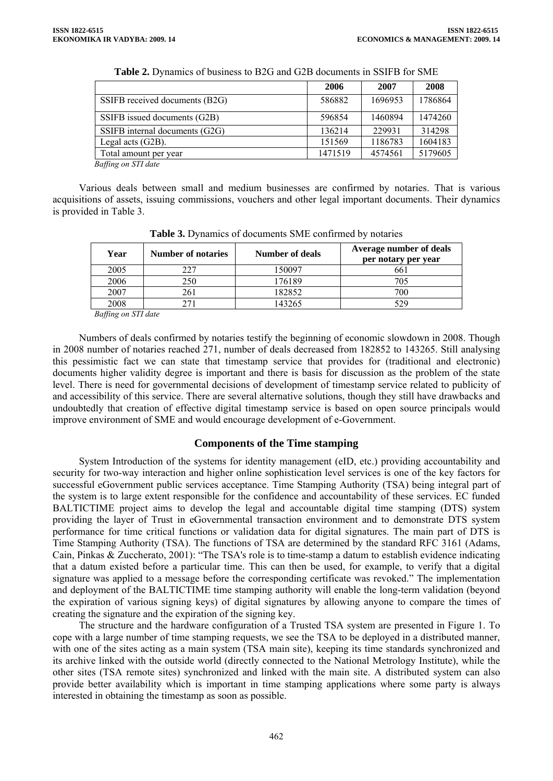|                                | 2006    | 2007    | 2008    |
|--------------------------------|---------|---------|---------|
| SSIFB received documents (B2G) | 586882  | 1696953 | 1786864 |
| SSIFB issued documents (G2B)   | 596854  | 1460894 | 1474260 |
| SSIFB internal documents (G2G) | 136214  | 229931  | 314298  |
| Legal acts $(G2B)$ .           | 151569  | 1186783 | 1604183 |
| Total amount per year          | 1471519 | 4574561 | 5179605 |

**Table 2.** Dynamics of business to B2G and G2B documents in SSIFB for SME

*Baffing on STI date* 

Various deals between small and medium businesses are confirmed by notaries. That is various acquisitions of assets, issuing commissions, vouchers and other legal important documents. Their dynamics is provided in Table 3.

| Year | <b>Number of notaries</b> | <b>Number of deals</b> | Average number of deals<br>per notary per year |
|------|---------------------------|------------------------|------------------------------------------------|
| 2005 | 227                       | 150097                 | 661                                            |
| 2006 | 250                       | 176189                 | 705                                            |
| 2007 | 261                       | 182852                 | 700                                            |
| 2008 |                           | 143265                 | 529                                            |

**Table 3.** Dynamics of documents SME confirmed by notaries

*Baffing on STI date* 

Numbers of deals confirmed by notaries testify the beginning of economic slowdown in 2008. Though in 2008 number of notaries reached 271, number of deals decreased from 182852 to 143265. Still analysing this pessimistic fact we can state that timestamp service that provides for (traditional and electronic) documents higher validity degree is important and there is basis for discussion as the problem of the state level. There is need for governmental decisions of development of timestamp service related to publicity of and accessibility of this service. There are several alternative solutions, though they still have drawbacks and undoubtedly that creation of effective digital timestamp service is based on open source principals would improve environment of SME and would encourage development of e-Government.

## **Components of the Time stamping**

System Introduction of the systems for identity management (eID, etc.) providing accountability and security for two-way interaction and higher online sophistication level services is one of the key factors for successful eGovernment public services acceptance. Time Stamping Authority (TSA) being integral part of the system is to large extent responsible for the confidence and accountability of these services. EC funded BALTICTIME project aims to develop the legal and accountable digital time stamping (DTS) system providing the layer of Trust in eGovernmental transaction environment and to demonstrate DTS system performance for time critical functions or validation data for digital signatures. The main part of DTS is Time Stamping Authority (TSA). The functions of TSA are determined by the standard RFC 3161 (Adams, Cain, Pinkas & Zuccherato, 2001): "The TSA's role is to time-stamp a datum to establish evidence indicating that a datum existed before a particular time. This can then be used, for example, to verify that a digital signature was applied to a message before the corresponding certificate was revoked." The implementation and deployment of the BALTICTIME time stamping authority will enable the long-term validation (beyond the expiration of various signing keys) of digital signatures by allowing anyone to compare the times of creating the signature and the expiration of the signing key.

The structure and the hardware configuration of a Trusted TSA system are presented in Figure 1. To cope with a large number of time stamping requests, we see the TSA to be deployed in a distributed manner, with one of the sites acting as a main system (TSA main site), keeping its time standards synchronized and its archive linked with the outside world (directly connected to the National Metrology Institute), while the other sites (TSA remote sites) synchronized and linked with the main site. A distributed system can also provide better availability which is important in time stamping applications where some party is always interested in obtaining the timestamp as soon as possible.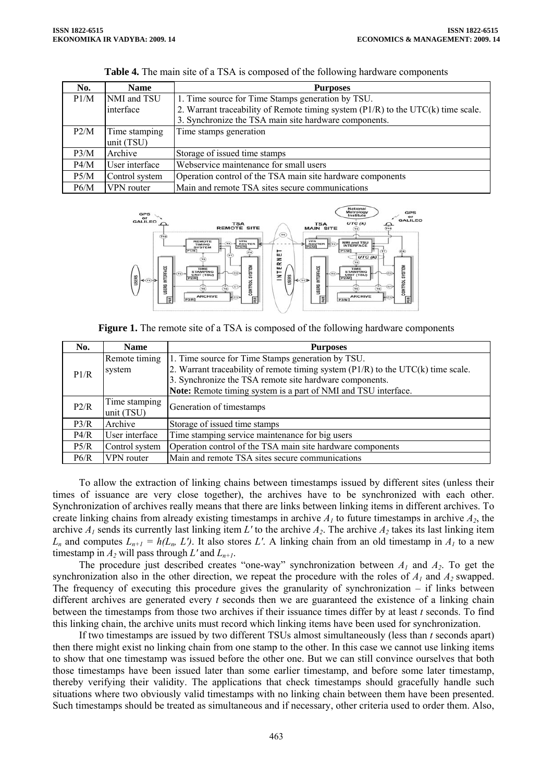| No.  | <b>Name</b>    | <b>Purposes</b>                                                                       |
|------|----------------|---------------------------------------------------------------------------------------|
| P1/M | NMI and TSU    | 1. Time source for Time Stamps generation by TSU.                                     |
|      | interface      | 2. Warrant traceability of Remote timing system $(PI/R)$ to the UTC $(k)$ time scale. |
|      |                | 3. Synchronize the TSA main site hardware components.                                 |
| P2/M | Time stamping  | Time stamps generation                                                                |
|      | unit (TSU)     |                                                                                       |
| P3/M | Archive        | Storage of issued time stamps                                                         |
| P4/M | User interface | Webservice maintenance for small users                                                |
| P5/M | Control system | Operation control of the TSA main site hardware components                            |
| P6/M | VPN router     | Main and remote TSA sites secure communications                                       |





**Figure 1.** The remote site of a TSA is composed of the following hardware components

| No.  | <b>Name</b>                 | <b>Purposes</b>                                                                       |
|------|-----------------------------|---------------------------------------------------------------------------------------|
|      | Remote timing               | 1. Time source for Time Stamps generation by TSU.                                     |
| P1/R | system                      | 2. Warrant traceability of remote timing system $(PI/R)$ to the UTC $(k)$ time scale. |
|      |                             | 3. Synchronize the TSA remote site hardware components.                               |
|      |                             | Note: Remote timing system is a part of NMI and TSU interface.                        |
| P2/R | Time stamping<br>unit (TSU) | Generation of timestamps                                                              |
| P3/R | Archive                     | Storage of issued time stamps                                                         |
| P4/R | User interface              | Time stamping service maintenance for big users                                       |
| P5/R | Control system              | Operation control of the TSA main site hardware components                            |
| P6/R | VPN router                  | Main and remote TSA sites secure communications                                       |

To allow the extraction of linking chains between timestamps issued by different sites (unless their times of issuance are very close together), the archives have to be synchronized with each other. Synchronization of archives really means that there are links between linking items in different archives. To create linking chains from already existing timestamps in archive  $A<sub>1</sub>$  to future timestamps in archive  $A<sub>2</sub>$ , the archive  $A_1$  sends its currently last linking item  $L'$  to the archive  $A_2$ . The archive  $A_2$  takes its last linking item  $L_n$  and computes  $L_{n+1} = h(L_n, L')$ . It also stores L'. A linking chain from an old timestamp in  $A_l$  to a new timestamp in  $A_2$  will pass through  $L'$  and  $L_{n+1}$ .

The procedure just described creates "one-way" synchronization between *A1* and *A2*. To get the synchronization also in the other direction, we repeat the procedure with the roles of  $A_1$  and  $A_2$  swapped. The frequency of executing this procedure gives the granularity of synchronization – if links between different archives are generated every *t* seconds then we are guaranteed the existence of a linking chain between the timestamps from those two archives if their issuance times differ by at least *t* seconds. To find this linking chain, the archive units must record which linking items have been used for synchronization.

If two timestamps are issued by two different TSUs almost simultaneously (less than *t* seconds apart) then there might exist no linking chain from one stamp to the other. In this case we cannot use linking items to show that one timestamp was issued before the other one. But we can still convince ourselves that both those timestamps have been issued later than some earlier timestamp, and before some later timestamp, thereby verifying their validity. The applications that check timestamps should gracefully handle such situations where two obviously valid timestamps with no linking chain between them have been presented. Such timestamps should be treated as simultaneous and if necessary, other criteria used to order them. Also,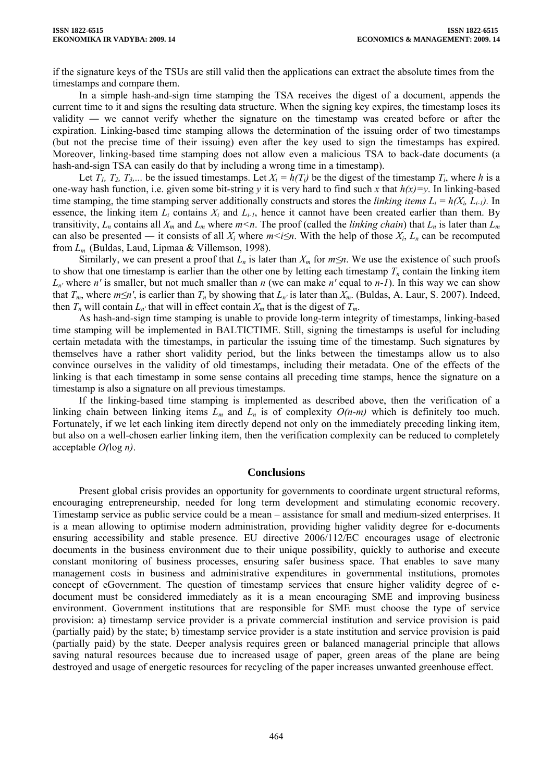if the signature keys of the TSUs are still valid then the applications can extract the absolute times from the timestamps and compare them.

In a simple hash-and-sign time stamping the TSA receives the digest of a document, appends the current time to it and signs the resulting data structure. When the signing key expires, the timestamp loses its validity ― we cannot verify whether the signature on the timestamp was created before or after the expiration. Linking-based time stamping allows the determination of the issuing order of two timestamps (but not the precise time of their issuing) even after the key used to sign the timestamps has expired. Moreover, linking-based time stamping does not allow even a malicious TSA to back-date documents (a hash-and-sign TSA can easily do that by including a wrong time in a timestamp).

Let  $T_1$ ,  $T_2$ ,  $T_3$ ,... be the issued timestamps. Let  $X_i = h(T_i)$  be the digest of the timestamp  $T_i$ , where h is a one-way hash function, i.e. given some bit-string *y* it is very hard to find such *x* that *h(x)=y*. In linking-based time stamping, the time stamping server additionally constructs and stores the *linking items*  $L_i = h(X_i, L_{i-1})$ *.* In essence, the linking item  $L_i$  contains  $X_i$  and  $L_{i-1}$ , hence it cannot have been created earlier than them. By transitivity,  $L_n$  contains all  $X_m$  and  $L_m$  where  $m < n$ . The proof (called the *linking chain*) that  $L_n$  is later than  $L_m$ can also be presented — it consists of all  $X_i$  where  $m \le i \le n$ . With the help of those  $X_i$ ,  $L_n$  can be recomputed from *Lm* (Buldas, Laud, Lipmaa & Villemson, 1998).

Similarly, we can present a proof that  $L_n$  is later than  $X_m$  for  $m \leq n$ . We use the existence of such proofs to show that one timestamp is earlier than the other one by letting each timestamp  $T_n$  contain the linking item *Ln'* where *n'* is smaller, but not much smaller than *n* (we can make *n'* equal to *n-1*). In this way we can show that  $T_m$ , where  $m \le n'$ , is earlier than  $T_n$  by showing that  $L_{n'}$  is later than  $X_m$ . (Buldas, A. Laur, S. 2007). Indeed, then  $T_n$  will contain  $L_n$  that will in effect contain  $X_m$  that is the digest of  $T_m$ .

As hash-and-sign time stamping is unable to provide long-term integrity of timestamps, linking-based time stamping will be implemented in BALTICTIME. Still, signing the timestamps is useful for including certain metadata with the timestamps, in particular the issuing time of the timestamp. Such signatures by themselves have a rather short validity period, but the links between the timestamps allow us to also convince ourselves in the validity of old timestamps, including their metadata. One of the effects of the linking is that each timestamp in some sense contains all preceding time stamps, hence the signature on a timestamp is also a signature on all previous timestamps.

If the linking-based time stamping is implemented as described above, then the verification of a linking chain between linking items  $L_m$  and  $L_n$  is of complexity  $O(n-m)$  which is definitely too much. Fortunately, if we let each linking item directly depend not only on the immediately preceding linking item, but also on a well-chosen earlier linking item, then the verification complexity can be reduced to completely acceptable *O(*log *n)*.

## **Conclusions**

Present global crisis provides an opportunity for governments to coordinate urgent structural reforms, encouraging entrepreneurship, needed for long term development and stimulating economic recovery. Timestamp service as public service could be a mean – assistance for small and medium-sized enterprises. It is a mean allowing to optimise modern administration, providing higher validity degree for e-documents ensuring accessibility and stable presence. EU directive 2006/112/EC encourages usage of electronic documents in the business environment due to their unique possibility, quickly to authorise and execute constant monitoring of business processes, ensuring safer business space. That enables to save many management costs in business and administrative expenditures in governmental institutions, promotes concept of eGovernment. The question of timestamp services that ensure higher validity degree of edocument must be considered immediately as it is a mean encouraging SME and improving business environment. Government institutions that are responsible for SME must choose the type of service provision: a) timestamp service provider is a private commercial institution and service provision is paid (partially paid) by the state; b) timestamp service provider is a state institution and service provision is paid (partially paid) by the state. Deeper analysis requires green or balanced managerial principle that allows saving natural resources because due to increased usage of paper, green areas of the plane are being destroyed and usage of energetic resources for recycling of the paper increases unwanted greenhouse effect.